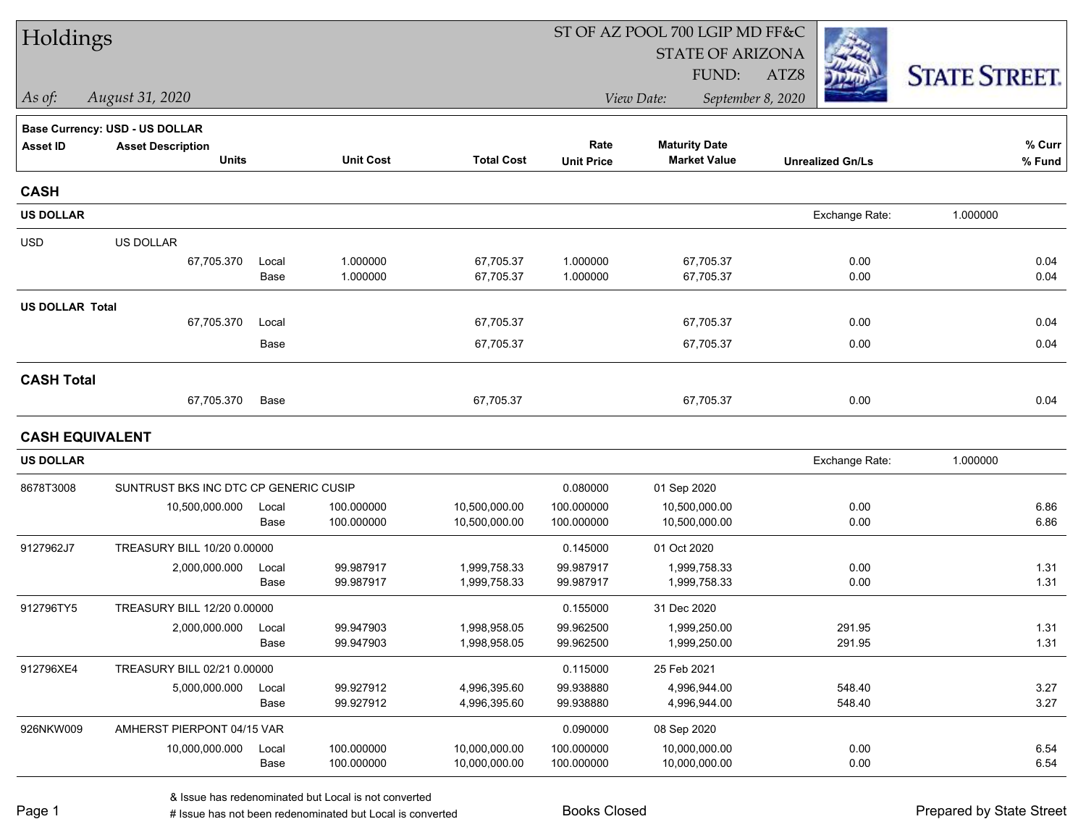| Holdings               |                                       |               |                          |                                |                          | ST OF AZ POOL 700 LGIP MD FF&C |                         |                      |  |  |  |
|------------------------|---------------------------------------|---------------|--------------------------|--------------------------------|--------------------------|--------------------------------|-------------------------|----------------------|--|--|--|
|                        |                                       |               |                          |                                |                          | <b>STATE OF ARIZONA</b>        |                         |                      |  |  |  |
|                        |                                       |               |                          |                                |                          | FUND:                          | ATZ8                    | <b>STATE STREET.</b> |  |  |  |
| As of:                 | August 31, 2020                       |               |                          |                                |                          | View Date:                     | September 8, 2020       |                      |  |  |  |
|                        | <b>Base Currency: USD - US DOLLAR</b> |               |                          |                                |                          |                                |                         |                      |  |  |  |
| <b>Asset ID</b>        | <b>Asset Description</b>              |               |                          |                                | Rate                     | <b>Maturity Date</b>           |                         | % Curr               |  |  |  |
|                        | <b>Units</b>                          |               | <b>Unit Cost</b>         | <b>Total Cost</b>              | <b>Unit Price</b>        | <b>Market Value</b>            | <b>Unrealized Gn/Ls</b> | % Fund               |  |  |  |
| <b>CASH</b>            |                                       |               |                          |                                |                          |                                |                         |                      |  |  |  |
| <b>US DOLLAR</b>       |                                       |               |                          |                                |                          |                                | Exchange Rate:          | 1.000000             |  |  |  |
| <b>USD</b>             | US DOLLAR                             |               |                          |                                |                          |                                |                         |                      |  |  |  |
|                        | 67,705.370                            | Local         | 1.000000                 | 67,705.37                      | 1.000000                 | 67,705.37                      | 0.00                    | 0.04                 |  |  |  |
|                        |                                       | Base          | 1.000000                 | 67,705.37                      | 1.000000                 | 67,705.37                      | 0.00                    | 0.04                 |  |  |  |
| <b>US DOLLAR Total</b> |                                       |               |                          |                                |                          |                                |                         |                      |  |  |  |
|                        | 67,705.370                            | Local         |                          | 67,705.37                      |                          | 67,705.37                      | 0.00                    | 0.04                 |  |  |  |
|                        |                                       | Base          |                          | 67,705.37                      |                          | 67,705.37                      | 0.00                    | 0.04                 |  |  |  |
| <b>CASH Total</b>      |                                       |               |                          |                                |                          |                                |                         |                      |  |  |  |
|                        | 67,705.370                            | Base          |                          | 67,705.37                      |                          | 67,705.37                      | 0.00                    | 0.04                 |  |  |  |
| <b>CASH EQUIVALENT</b> |                                       |               |                          |                                |                          |                                |                         |                      |  |  |  |
| <b>US DOLLAR</b>       |                                       |               |                          |                                |                          |                                | Exchange Rate:          | 1.000000             |  |  |  |
| 8678T3008              | SUNTRUST BKS INC DTC CP GENERIC CUSIP |               |                          |                                | 0.080000                 | 01 Sep 2020                    |                         |                      |  |  |  |
|                        | 10,500,000.000                        | Local         | 100.000000               | 10,500,000.00                  | 100.000000               | 10,500,000.00                  | 0.00                    | 6.86                 |  |  |  |
|                        |                                       | Base          | 100.000000               | 10,500,000.00                  | 100.000000               | 10,500,000.00                  | 0.00                    | 6.86                 |  |  |  |
| 9127962J7              | TREASURY BILL 10/20 0.00000           |               |                          |                                | 0.145000                 | 01 Oct 2020                    |                         |                      |  |  |  |
|                        | 2,000,000.000                         | Local         | 99.987917                | 1,999,758.33                   | 99.987917                | 1,999,758.33                   | 0.00                    | 1.31                 |  |  |  |
|                        |                                       | Base          | 99.987917                | 1,999,758.33                   | 99.987917                | 1,999,758.33                   | 0.00                    | 1.31                 |  |  |  |
| 912796TY5              | TREASURY BILL 12/20 0.00000           |               |                          |                                | 0.155000                 | 31 Dec 2020                    |                         |                      |  |  |  |
|                        | 2,000,000.000                         | Local         | 99.947903                | 1,998,958.05                   | 99.962500                | 1,999,250.00                   | 291.95                  | 1.31                 |  |  |  |
|                        |                                       | Base          | 99.947903                | 1,998,958.05                   | 99.962500                | 1,999,250.00                   | 291.95                  | 1.31                 |  |  |  |
| 912796XE4              | TREASURY BILL 02/21 0.00000           |               |                          |                                | 0.115000                 | 25 Feb 2021                    |                         |                      |  |  |  |
|                        | 5,000,000.000                         | Local         | 99.927912                | 4,996,395.60                   | 99.938880                | 4,996,944.00                   | 548.40                  | 3.27                 |  |  |  |
|                        |                                       | Base          | 99.927912                | 4,996,395.60                   | 99.938880                | 4,996,944.00                   | 548.40                  | 3.27                 |  |  |  |
| 926NKW009              | AMHERST PIERPONT 04/15 VAR            |               |                          |                                | 0.090000                 | 08 Sep 2020                    |                         |                      |  |  |  |
|                        | 10,000,000.000                        | Local<br>Base | 100.000000<br>100.000000 | 10,000,000.00<br>10,000,000.00 | 100.000000<br>100.000000 | 10,000,000.00<br>10,000,000.00 | 0.00<br>0.00            | 6.54<br>6.54         |  |  |  |
|                        |                                       |               |                          |                                |                          |                                |                         |                      |  |  |  |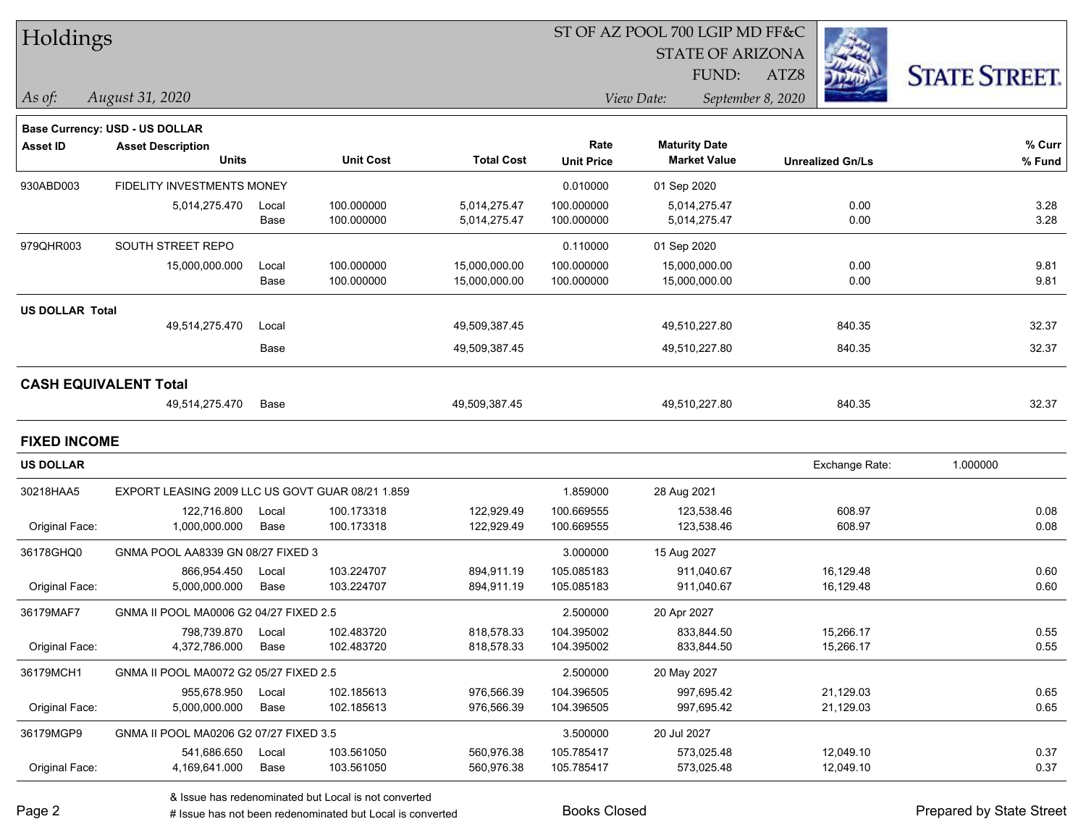| Holdings |
|----------|
|----------|

STATE OF ARIZONA

ATZ8



*As of: View Date: September 8, 2020* FUND:

| As of: | August 31, 2020 |
|--------|-----------------|
|        |                 |

|                        | <b>Base Currency: USD - US DOLLAR</b>            |       |                  |                   |                   |                      |                         |          |
|------------------------|--------------------------------------------------|-------|------------------|-------------------|-------------------|----------------------|-------------------------|----------|
| <b>Asset ID</b>        | <b>Asset Description</b>                         |       |                  |                   | Rate              | <b>Maturity Date</b> |                         | % Curr   |
|                        | <b>Units</b>                                     |       | <b>Unit Cost</b> | <b>Total Cost</b> | <b>Unit Price</b> | <b>Market Value</b>  | <b>Unrealized Gn/Ls</b> | % Fund   |
| 930ABD003              | FIDELITY INVESTMENTS MONEY                       |       |                  |                   | 0.010000          | 01 Sep 2020          |                         |          |
|                        | 5,014,275.470                                    | Local | 100.000000       | 5,014,275.47      | 100.000000        | 5,014,275.47         | 0.00                    | 3.28     |
|                        |                                                  | Base  | 100.000000       | 5,014,275.47      | 100.000000        | 5,014,275.47         | 0.00                    | 3.28     |
| 979QHR003              | SOUTH STREET REPO                                |       |                  |                   | 0.110000          | 01 Sep 2020          |                         |          |
|                        | 15,000,000.000                                   | Local | 100.000000       | 15,000,000.00     | 100.000000        | 15,000,000.00        | 0.00                    | 9.81     |
|                        |                                                  | Base  | 100.000000       | 15,000,000.00     | 100.000000        | 15,000,000.00        | 0.00                    | 9.81     |
| <b>US DOLLAR Total</b> |                                                  |       |                  |                   |                   |                      |                         |          |
|                        | 49,514,275.470                                   | Local |                  | 49,509,387.45     |                   | 49,510,227.80        | 840.35                  | 32.37    |
|                        |                                                  | Base  |                  | 49,509,387.45     |                   | 49,510,227.80        | 840.35                  | 32.37    |
|                        | <b>CASH EQUIVALENT Total</b>                     |       |                  |                   |                   |                      |                         |          |
|                        | 49,514,275.470                                   | Base  |                  | 49,509,387.45     |                   | 49,510,227.80        | 840.35                  | 32.37    |
| <b>FIXED INCOME</b>    |                                                  |       |                  |                   |                   |                      |                         |          |
| <b>US DOLLAR</b>       |                                                  |       |                  |                   |                   |                      | Exchange Rate:          | 1.000000 |
| 30218HAA5              | EXPORT LEASING 2009 LLC US GOVT GUAR 08/21 1.859 |       |                  |                   | 1.859000          | 28 Aug 2021          |                         |          |
|                        | 122,716.800                                      | Local | 100.173318       | 122,929.49        | 100.669555        | 123,538.46           | 608.97                  | 0.08     |
| Original Face:         | 1.000.000.000                                    | Base  | 100.173318       | 122,929.49        | 100.669555        | 123,538.46           | 608.97                  | 0.08     |
| 36178GHQ0              | GNMA POOL AA8339 GN 08/27 FIXED 3                |       |                  |                   | 3.000000          | 15 Aug 2027          |                         |          |
|                        | 866,954.450                                      | Local | 103.224707       | 894,911.19        | 105.085183        | 911,040.67           | 16,129.48               | 0.60     |
| Original Face:         | 5,000,000.000                                    | Base  | 103.224707       | 894,911.19        | 105.085183        | 911,040.67           | 16,129.48               | 0.60     |
| 36179MAF7              | GNMA II POOL MA0006 G2 04/27 FIXED 2.5           |       |                  |                   | 2.500000          | 20 Apr 2027          |                         |          |
|                        | 798,739.870                                      | Local | 102.483720       | 818,578.33        | 104.395002        | 833,844.50           | 15,266.17               | 0.55     |
| Original Face:         | 4,372,786.000                                    | Base  | 102.483720       | 818,578.33        | 104.395002        | 833,844.50           | 15,266.17               | 0.55     |
| 36179MCH1              | GNMA II POOL MA0072 G2 05/27 FIXED 2.5           |       |                  |                   | 2.500000          | 20 May 2027          |                         |          |
|                        | 955,678.950                                      | Local | 102.185613       | 976,566.39        | 104.396505        | 997.695.42           | 21,129.03               | 0.65     |
| Original Face:         | 5,000,000.000                                    | Base  | 102.185613       | 976,566.39        | 104.396505        | 997,695.42           | 21,129.03               | 0.65     |
| 36179MGP9              | GNMA II POOL MA0206 G2 07/27 FIXED 3.5           |       |                  |                   | 3.500000          | 20 Jul 2027          |                         |          |
|                        | 541,686.650                                      | Local | 103.561050       | 560,976.38        | 105.785417        | 573,025.48           | 12,049.10               | 0.37     |
| Original Face:         | 4,169,641.000                                    | Base  | 103.561050       | 560,976.38        | 105.785417        | 573,025.48           | 12,049.10               | 0.37     |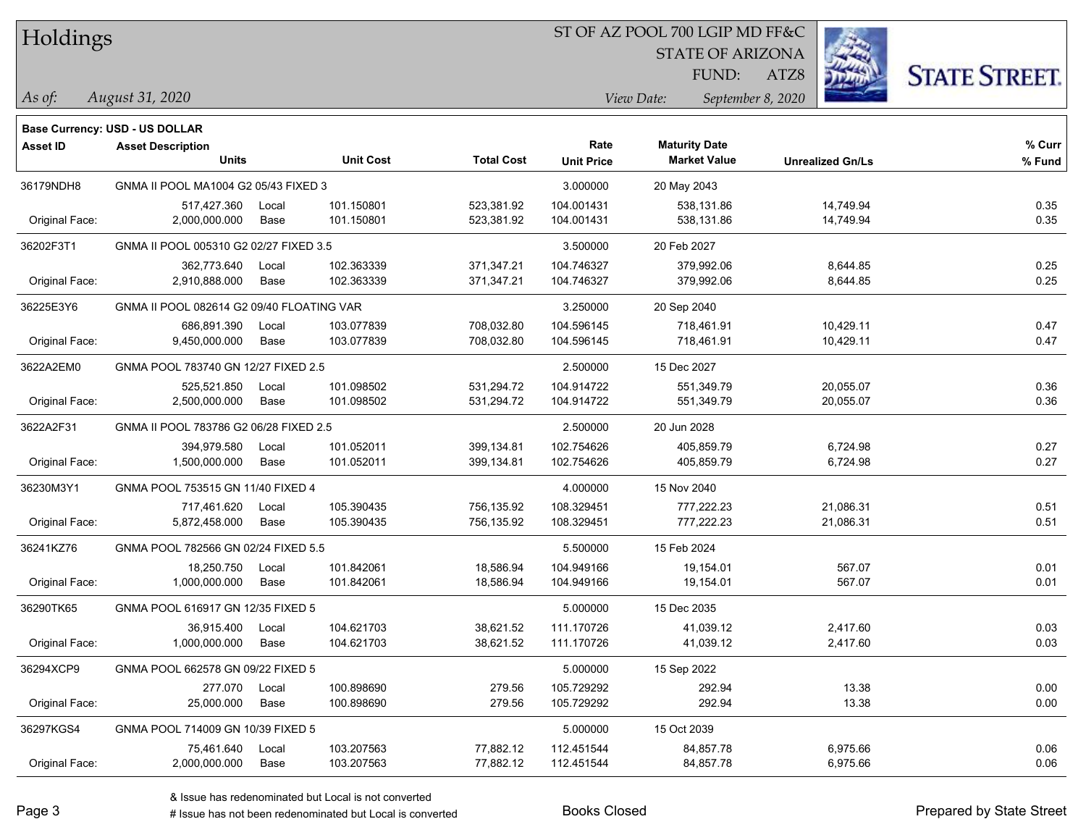#### ST OF AZ POOL 700 LGIP MD FF&C

STATE OF ARIZONA

FUND:

ATZ8



*As of: View Date: September 8, 2020*

| As of: | August 31, 2020 |  |
|--------|-----------------|--|
|        |                 |  |

|                 | <b>Base Currency: USD - US DOLLAR</b>     |       |                  |                   |                   |                      |                         |        |
|-----------------|-------------------------------------------|-------|------------------|-------------------|-------------------|----------------------|-------------------------|--------|
| <b>Asset ID</b> | <b>Asset Description</b>                  |       |                  |                   | Rate              | <b>Maturity Date</b> |                         | % Curr |
|                 | Units                                     |       | <b>Unit Cost</b> | <b>Total Cost</b> | <b>Unit Price</b> | <b>Market Value</b>  | <b>Unrealized Gn/Ls</b> | % Fund |
| 36179NDH8       | GNMA II POOL MA1004 G2 05/43 FIXED 3      |       |                  |                   | 3.000000          | 20 May 2043          |                         |        |
|                 | 517,427.360                               | Local | 101.150801       | 523,381.92        | 104.001431        | 538,131.86           | 14,749.94               | 0.35   |
| Original Face:  | 2,000,000.000                             | Base  | 101.150801       | 523,381.92        | 104.001431        | 538,131.86           | 14,749.94               | 0.35   |
| 36202F3T1       | GNMA II POOL 005310 G2 02/27 FIXED 3.5    |       |                  |                   | 3.500000          | 20 Feb 2027          |                         |        |
|                 | 362,773.640                               | Local | 102.363339       | 371,347.21        | 104.746327        | 379,992.06           | 8,644.85                | 0.25   |
| Original Face:  | 2,910,888.000                             | Base  | 102.363339       | 371,347.21        | 104.746327        | 379,992.06           | 8,644.85                | 0.25   |
| 36225E3Y6       | GNMA II POOL 082614 G2 09/40 FLOATING VAR |       |                  |                   | 3.250000          | 20 Sep 2040          |                         |        |
|                 | 686,891.390                               | Local | 103.077839       | 708,032.80        | 104.596145        | 718,461.91           | 10,429.11               | 0.47   |
| Original Face:  | 9.450.000.000                             | Base  | 103.077839       | 708,032.80        | 104.596145        | 718,461.91           | 10,429.11               | 0.47   |
| 3622A2EM0       | GNMA POOL 783740 GN 12/27 FIXED 2.5       |       |                  |                   | 2.500000          | 15 Dec 2027          |                         |        |
|                 | 525,521.850                               | Local | 101.098502       | 531,294.72        | 104.914722        | 551,349.79           | 20,055.07               | 0.36   |
| Original Face:  | 2,500,000.000                             | Base  | 101.098502       | 531,294.72        | 104.914722        | 551,349.79           | 20,055.07               | 0.36   |
| 3622A2F31       | GNMA II POOL 783786 G2 06/28 FIXED 2.5    |       |                  |                   | 2.500000          | 20 Jun 2028          |                         |        |
|                 | 394,979.580                               | Local | 101.052011       | 399,134.81        | 102.754626        | 405,859.79           | 6,724.98                | 0.27   |
| Original Face:  | 1,500,000.000                             | Base  | 101.052011       | 399,134.81        | 102.754626        | 405,859.79           | 6,724.98                | 0.27   |
| 36230M3Y1       | GNMA POOL 753515 GN 11/40 FIXED 4         |       |                  |                   | 4.000000          | 15 Nov 2040          |                         |        |
|                 | 717,461.620                               | Local | 105.390435       | 756,135.92        | 108.329451        | 777,222.23           | 21,086.31               | 0.51   |
| Original Face:  | 5,872,458.000                             | Base  | 105.390435       | 756,135.92        | 108.329451        | 777,222.23           | 21,086.31               | 0.51   |
| 36241KZ76       | GNMA POOL 782566 GN 02/24 FIXED 5.5       |       |                  |                   | 5.500000          | 15 Feb 2024          |                         |        |
|                 | 18,250.750                                | Local | 101.842061       | 18,586.94         | 104.949166        | 19,154.01            | 567.07                  | 0.01   |
| Original Face:  | 1,000,000.000                             | Base  | 101.842061       | 18,586.94         | 104.949166        | 19,154.01            | 567.07                  | 0.01   |
| 36290TK65       | GNMA POOL 616917 GN 12/35 FIXED 5         |       |                  |                   | 5.000000          | 15 Dec 2035          |                         |        |
|                 | 36,915.400                                | Local | 104.621703       | 38,621.52         | 111.170726        | 41,039.12            | 2,417.60                | 0.03   |
| Original Face:  | 1,000,000.000                             | Base  | 104.621703       | 38,621.52         | 111.170726        | 41,039.12            | 2,417.60                | 0.03   |
| 36294XCP9       | GNMA POOL 662578 GN 09/22 FIXED 5         |       |                  |                   | 5.000000          | 15 Sep 2022          |                         |        |
|                 | 277.070                                   | Local | 100.898690       | 279.56            | 105.729292        | 292.94               | 13.38                   | 0.00   |
| Original Face:  | 25,000.000                                | Base  | 100.898690       | 279.56            | 105.729292        | 292.94               | 13.38                   | 0.00   |
| 36297KGS4       | GNMA POOL 714009 GN 10/39 FIXED 5         |       |                  |                   | 5.000000          | 15 Oct 2039          |                         |        |
|                 | 75,461.640                                | Local | 103.207563       | 77,882.12         | 112.451544        | 84,857.78            | 6,975.66                | 0.06   |
| Original Face:  | 2,000,000.000                             | Base  | 103.207563       | 77,882.12         | 112.451544        | 84,857.78            | 6,975.66                | 0.06   |
|                 |                                           |       |                  |                   |                   |                      |                         |        |

# Issue has not been redenominated but Local is converted Books Closed Prepared by State Street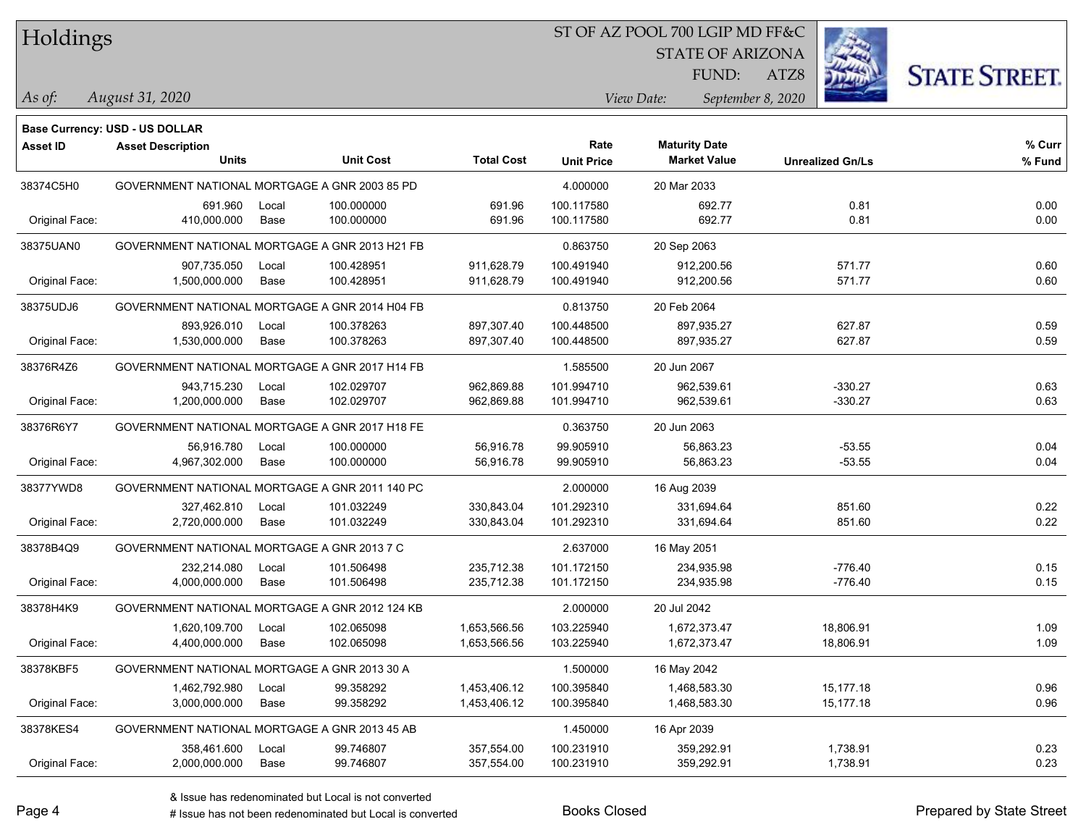#### ST OF AZ POOL 700 LGIP MD FF&C

STATE OF ARIZONA

ATZ8



*August 31, 2020 As of: View Date: September 8, 2020*

**Base Currency: USD - US DOLLAR**

FUND:

| <b>Asset ID</b> | <b>Asset Description</b>                       |                  |                   | Rate              | <b>Maturity Date</b> |                         | % Curr |
|-----------------|------------------------------------------------|------------------|-------------------|-------------------|----------------------|-------------------------|--------|
|                 | <b>Units</b>                                   | <b>Unit Cost</b> | <b>Total Cost</b> | <b>Unit Price</b> | <b>Market Value</b>  | <b>Unrealized Gn/Ls</b> | % Fund |
| 38374C5H0       | GOVERNMENT NATIONAL MORTGAGE A GNR 2003 85 PD  |                  |                   | 4.000000          | 20 Mar 2033          |                         |        |
|                 | 691.960<br>Local                               | 100.000000       | 691.96            | 100.117580        | 692.77               | 0.81                    | 0.00   |
| Original Face:  | 410,000.000<br>Base                            | 100.000000       | 691.96            | 100.117580        | 692.77               | 0.81                    | 0.00   |
| 38375UAN0       | GOVERNMENT NATIONAL MORTGAGE A GNR 2013 H21 FB |                  |                   | 0.863750          | 20 Sep 2063          |                         |        |
|                 | 907,735.050<br>Local                           | 100.428951       | 911,628.79        | 100.491940        | 912,200.56           | 571.77                  | 0.60   |
| Original Face:  | 1,500,000.000<br>Base                          | 100.428951       | 911,628.79        | 100.491940        | 912,200.56           | 571.77                  | 0.60   |
| 38375UDJ6       | GOVERNMENT NATIONAL MORTGAGE A GNR 2014 H04 FB |                  |                   | 0.813750          | 20 Feb 2064          |                         |        |
|                 | 893,926.010<br>Local                           | 100.378263       | 897,307.40        | 100.448500        | 897,935.27           | 627.87                  | 0.59   |
| Original Face:  | 1,530,000.000<br>Base                          | 100.378263       | 897,307.40        | 100.448500        | 897,935.27           | 627.87                  | 0.59   |
| 38376R4Z6       | GOVERNMENT NATIONAL MORTGAGE A GNR 2017 H14 FB |                  |                   | 1.585500          | 20 Jun 2067          |                         |        |
|                 | 943.715.230<br>Local                           | 102.029707       | 962,869.88        | 101.994710        | 962,539.61           | $-330.27$               | 0.63   |
| Original Face:  | 1,200,000.000<br>Base                          | 102.029707       | 962,869.88        | 101.994710        | 962,539.61           | $-330.27$               | 0.63   |
| 38376R6Y7       | GOVERNMENT NATIONAL MORTGAGE A GNR 2017 H18 FE |                  |                   | 0.363750          | 20 Jun 2063          |                         |        |
|                 | 56,916.780<br>Local                            | 100.000000       | 56,916.78         | 99.905910         | 56,863.23            | $-53.55$                | 0.04   |
| Original Face:  | 4,967,302.000<br>Base                          | 100.000000       | 56,916.78         | 99.905910         | 56,863.23            | $-53.55$                | 0.04   |
| 38377YWD8       | GOVERNMENT NATIONAL MORTGAGE A GNR 2011 140 PC |                  |                   | 2.000000          | 16 Aug 2039          |                         |        |
|                 | 327,462.810<br>Local                           | 101.032249       | 330,843.04        | 101.292310        | 331,694.64           | 851.60                  | 0.22   |
| Original Face:  | 2,720,000.000<br>Base                          | 101.032249       | 330,843.04        | 101.292310        | 331,694.64           | 851.60                  | 0.22   |
| 38378B4Q9       | GOVERNMENT NATIONAL MORTGAGE A GNR 2013 7 C    |                  |                   | 2.637000          | 16 May 2051          |                         |        |
|                 | 232,214.080<br>Local                           | 101.506498       | 235,712.38        | 101.172150        | 234,935.98           | $-776.40$               | 0.15   |
| Original Face:  | 4,000,000.000<br>Base                          | 101.506498       | 235,712.38        | 101.172150        | 234,935.98           | $-776.40$               | 0.15   |
| 38378H4K9       | GOVERNMENT NATIONAL MORTGAGE A GNR 2012 124 KB |                  |                   | 2.000000          | 20 Jul 2042          |                         |        |
|                 | 1,620,109.700<br>Local                         | 102.065098       | 1,653,566.56      | 103.225940        | 1,672,373.47         | 18,806.91               | 1.09   |
| Original Face:  | 4,400,000.000<br>Base                          | 102.065098       | 1,653,566.56      | 103.225940        | 1,672,373.47         | 18,806.91               | 1.09   |
| 38378KBF5       | GOVERNMENT NATIONAL MORTGAGE A GNR 2013 30 A   |                  |                   | 1.500000          | 16 May 2042          |                         |        |
|                 | 1,462,792.980<br>Local                         | 99.358292        | 1,453,406.12      | 100.395840        | 1,468,583.30         | 15,177.18               | 0.96   |
| Original Face:  | 3,000,000.000<br>Base                          | 99.358292        | 1,453,406.12      | 100.395840        | 1,468,583.30         | 15,177.18               | 0.96   |
| 38378KES4       | GOVERNMENT NATIONAL MORTGAGE A GNR 2013 45 AB  |                  |                   | 1.450000          | 16 Apr 2039          |                         |        |
|                 | 358,461.600<br>Local                           | 99.746807        | 357,554.00        | 100.231910        | 359,292.91           | 1,738.91                | 0.23   |
| Original Face:  | 2,000,000.000<br>Base                          | 99.746807        | 357,554.00        | 100.231910        | 359,292.91           | 1,738.91                | 0.23   |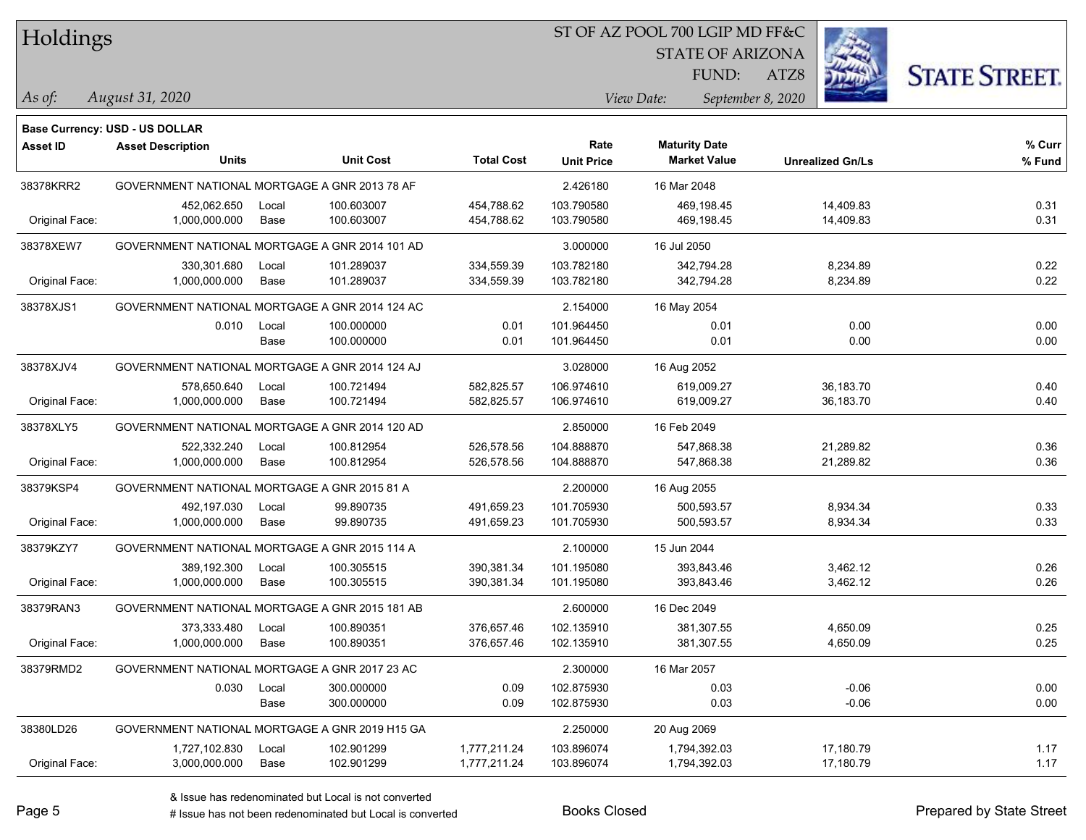#### ST OF AZ POOL 700 LGIP MD FF&C

STATE OF ARIZONA

ATZ8



*August 31, 2020 As of: View Date: September 8, 2020* FUND:

|                 | <b>Base Currency: USD - US DOLLAR</b>          |       |                  |                   |                   |                      |                         |        |
|-----------------|------------------------------------------------|-------|------------------|-------------------|-------------------|----------------------|-------------------------|--------|
| <b>Asset ID</b> | <b>Asset Description</b>                       |       |                  |                   | Rate              | <b>Maturity Date</b> |                         | % Curr |
|                 | <b>Units</b>                                   |       | <b>Unit Cost</b> | <b>Total Cost</b> | <b>Unit Price</b> | <b>Market Value</b>  | <b>Unrealized Gn/Ls</b> | % Fund |
| 38378KRR2       | GOVERNMENT NATIONAL MORTGAGE A GNR 2013 78 AF  |       |                  |                   | 2.426180          | 16 Mar 2048          |                         |        |
|                 | 452,062.650                                    | Local | 100.603007       | 454,788.62        | 103.790580        | 469,198.45           | 14,409.83               | 0.31   |
| Original Face:  | 1,000,000.000                                  | Base  | 100.603007       | 454,788.62        | 103.790580        | 469,198.45           | 14,409.83               | 0.31   |
| 38378XEW7       | GOVERNMENT NATIONAL MORTGAGE A GNR 2014 101 AD |       |                  |                   | 3.000000          | 16 Jul 2050          |                         |        |
|                 | 330,301.680                                    | Local | 101.289037       | 334,559.39        | 103.782180        | 342,794.28           | 8,234.89                | 0.22   |
| Original Face:  | 1,000,000.000                                  | Base  | 101.289037       | 334,559.39        | 103.782180        | 342,794.28           | 8,234.89                | 0.22   |
| 38378XJS1       | GOVERNMENT NATIONAL MORTGAGE A GNR 2014 124 AC |       |                  |                   | 2.154000          | 16 May 2054          |                         |        |
|                 | 0.010                                          | Local | 100.000000       | 0.01              | 101.964450        | 0.01                 | 0.00                    | 0.00   |
|                 |                                                | Base  | 100.000000       | 0.01              | 101.964450        | 0.01                 | 0.00                    | 0.00   |
| 38378XJV4       | GOVERNMENT NATIONAL MORTGAGE A GNR 2014 124 AJ |       |                  |                   | 3.028000          | 16 Aug 2052          |                         |        |
|                 | 578,650.640                                    | Local | 100.721494       | 582,825.57        | 106.974610        | 619,009.27           | 36,183.70               | 0.40   |
| Original Face:  | 1,000,000.000                                  | Base  | 100.721494       | 582,825.57        | 106.974610        | 619,009.27           | 36,183.70               | 0.40   |
| 38378XLY5       | GOVERNMENT NATIONAL MORTGAGE A GNR 2014 120 AD |       |                  |                   | 2.850000          | 16 Feb 2049          |                         |        |
|                 | 522,332.240                                    | Local | 100.812954       | 526,578.56        | 104.888870        | 547,868.38           | 21,289.82               | 0.36   |
| Original Face:  | 1,000,000.000                                  | Base  | 100.812954       | 526,578.56        | 104.888870        | 547,868.38           | 21,289.82               | 0.36   |
| 38379KSP4       | GOVERNMENT NATIONAL MORTGAGE A GNR 2015 81 A   |       |                  |                   | 2.200000          | 16 Aug 2055          |                         |        |
|                 | 492,197.030                                    | Local | 99.890735        | 491,659.23        | 101.705930        | 500,593.57           | 8,934.34                | 0.33   |
| Original Face:  | 1,000,000.000                                  | Base  | 99.890735        | 491,659.23        | 101.705930        | 500,593.57           | 8,934.34                | 0.33   |
| 38379KZY7       | GOVERNMENT NATIONAL MORTGAGE A GNR 2015 114 A  |       |                  |                   | 2.100000          | 15 Jun 2044          |                         |        |
|                 | 389,192.300                                    | Local | 100.305515       | 390,381.34        | 101.195080        | 393,843.46           | 3,462.12                | 0.26   |
| Original Face:  | 1,000,000.000                                  | Base  | 100.305515       | 390,381.34        | 101.195080        | 393,843.46           | 3,462.12                | 0.26   |
| 38379RAN3       | GOVERNMENT NATIONAL MORTGAGE A GNR 2015 181 AB |       |                  |                   | 2.600000          | 16 Dec 2049          |                         |        |
|                 | 373,333.480                                    | Local | 100.890351       | 376,657.46        | 102.135910        | 381,307.55           | 4,650.09                | 0.25   |
| Original Face:  | 1,000,000.000                                  | Base  | 100.890351       | 376,657.46        | 102.135910        | 381,307.55           | 4,650.09                | 0.25   |
| 38379RMD2       | GOVERNMENT NATIONAL MORTGAGE A GNR 2017 23 AC  |       |                  |                   | 2.300000          | 16 Mar 2057          |                         |        |
|                 | 0.030                                          | Local | 300.000000       | 0.09              | 102.875930        | 0.03                 | $-0.06$                 | 0.00   |
|                 |                                                | Base  | 300.000000       | 0.09              | 102.875930        | 0.03                 | $-0.06$                 | 0.00   |
| 38380LD26       | GOVERNMENT NATIONAL MORTGAGE A GNR 2019 H15 GA |       |                  |                   | 2.250000          | 20 Aug 2069          |                         |        |
|                 | 1,727,102.830                                  | Local | 102.901299       | 1,777,211.24      | 103.896074        | 1,794,392.03         | 17,180.79               | 1.17   |
| Original Face:  | 3,000,000.000                                  | Base  | 102.901299       | 1,777,211.24      | 103.896074        | 1,794,392.03         | 17,180.79               | 1.17   |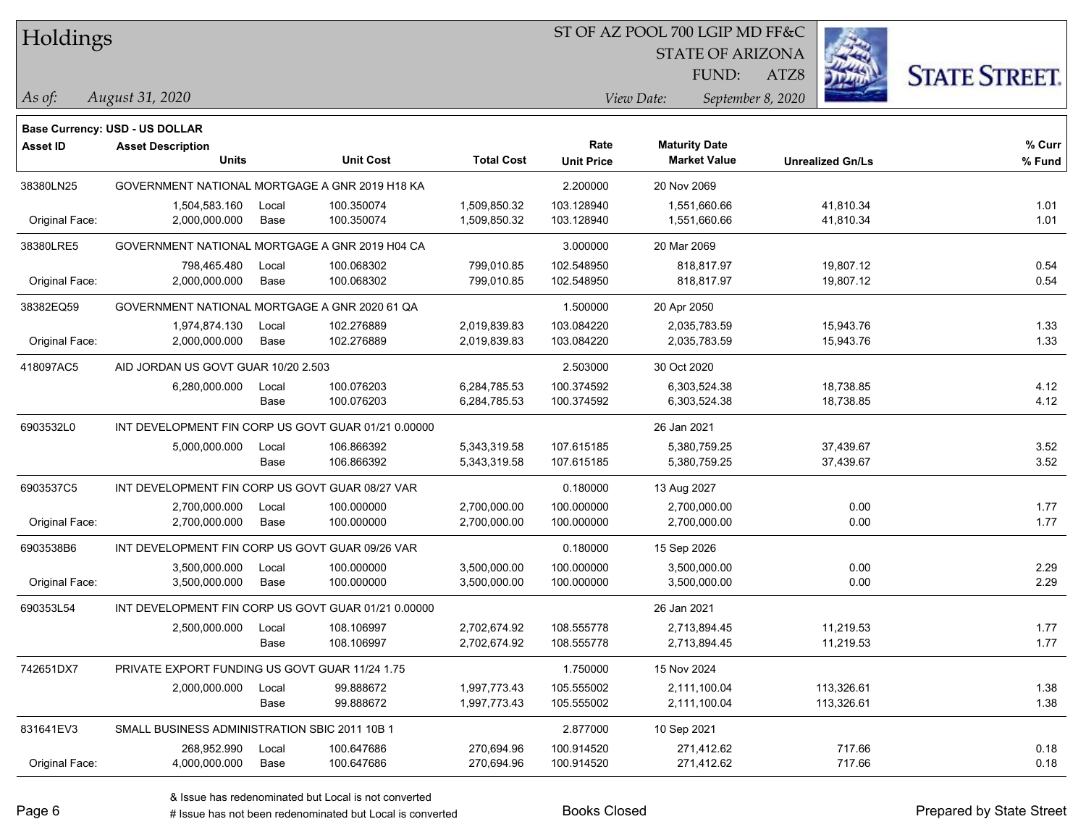#### ST OF AZ POOL 700 LGIP MD FF&C

STATE OF ARIZONA

ATZ8



**Base Currency: USD - US DOLLAR**

*August 31, 2020 As of: View Date: September 8, 2020* FUND:

| <b>Asset ID</b> | <b>Asset Description</b>                            |       |                  |                   | Rate              | <b>Maturity Date</b> |                         | % Curr |
|-----------------|-----------------------------------------------------|-------|------------------|-------------------|-------------------|----------------------|-------------------------|--------|
|                 | <b>Units</b>                                        |       | <b>Unit Cost</b> | <b>Total Cost</b> | <b>Unit Price</b> | <b>Market Value</b>  | <b>Unrealized Gn/Ls</b> | % Fund |
| 38380LN25       | GOVERNMENT NATIONAL MORTGAGE A GNR 2019 H18 KA      |       |                  |                   | 2.200000          | 20 Nov 2069          |                         |        |
|                 | 1,504,583.160                                       | Local | 100.350074       | 1,509,850.32      | 103.128940        | 1,551,660.66         | 41,810.34               | 1.01   |
| Original Face:  | 2,000,000.000                                       | Base  | 100.350074       | 1,509,850.32      | 103.128940        | 1,551,660.66         | 41,810.34               | 1.01   |
| 38380LRE5       | GOVERNMENT NATIONAL MORTGAGE A GNR 2019 H04 CA      |       |                  |                   | 3.000000          | 20 Mar 2069          |                         |        |
|                 | 798,465.480                                         | Local | 100.068302       | 799,010.85        | 102.548950        | 818,817.97           | 19,807.12               | 0.54   |
| Original Face:  | 2,000,000.000                                       | Base  | 100.068302       | 799,010.85        | 102.548950        | 818,817.97           | 19,807.12               | 0.54   |
| 38382EQ59       | GOVERNMENT NATIONAL MORTGAGE A GNR 2020 61 QA       |       |                  |                   | 1.500000          | 20 Apr 2050          |                         |        |
|                 | 1,974,874.130                                       | Local | 102.276889       | 2,019,839.83      | 103.084220        | 2,035,783.59         | 15,943.76               | 1.33   |
| Original Face:  | 2,000,000.000                                       | Base  | 102.276889       | 2,019,839.83      | 103.084220        | 2,035,783.59         | 15,943.76               | 1.33   |
| 418097AC5       | AID JORDAN US GOVT GUAR 10/20 2.503                 |       |                  |                   | 2.503000          | 30 Oct 2020          |                         |        |
|                 | 6,280,000.000                                       | Local | 100.076203       | 6,284,785.53      | 100.374592        | 6,303,524.38         | 18,738.85               | 4.12   |
|                 |                                                     | Base  | 100.076203       | 6,284,785.53      | 100.374592        | 6,303,524.38         | 18,738.85               | 4.12   |
| 6903532L0       | INT DEVELOPMENT FIN CORP US GOVT GUAR 01/21 0.00000 |       |                  |                   |                   | 26 Jan 2021          |                         |        |
|                 | 5,000,000.000                                       | Local | 106.866392       | 5,343,319.58      | 107.615185        | 5,380,759.25         | 37,439.67               | 3.52   |
|                 |                                                     | Base  | 106.866392       | 5,343,319.58      | 107.615185        | 5,380,759.25         | 37,439.67               | 3.52   |
| 6903537C5       | INT DEVELOPMENT FIN CORP US GOVT GUAR 08/27 VAR     |       |                  |                   | 0.180000          | 13 Aug 2027          |                         |        |
|                 | 2,700,000.000                                       | Local | 100.000000       | 2,700,000.00      | 100.000000        | 2,700,000.00         | 0.00                    | 1.77   |
| Original Face:  | 2,700,000.000                                       | Base  | 100.000000       | 2,700,000.00      | 100.000000        | 2,700,000.00         | 0.00                    | 1.77   |
| 6903538B6       | INT DEVELOPMENT FIN CORP US GOVT GUAR 09/26 VAR     |       |                  |                   | 0.180000          | 15 Sep 2026          |                         |        |
|                 | 3,500,000.000                                       | Local | 100.000000       | 3,500,000.00      | 100.000000        | 3,500,000.00         | 0.00                    | 2.29   |
| Original Face:  | 3,500,000.000                                       | Base  | 100.000000       | 3,500,000.00      | 100.000000        | 3,500,000.00         | 0.00                    | 2.29   |
| 690353L54       | INT DEVELOPMENT FIN CORP US GOVT GUAR 01/21 0.00000 |       |                  |                   | 26 Jan 2021       |                      |                         |        |
|                 | 2,500,000.000                                       | Local | 108.106997       | 2,702,674.92      | 108.555778        | 2,713,894.45         | 11,219.53               | 1.77   |
|                 |                                                     | Base  | 108.106997       | 2,702,674.92      | 108.555778        | 2,713,894.45         | 11,219.53               | 1.77   |
| 742651DX7       | PRIVATE EXPORT FUNDING US GOVT GUAR 11/24 1.75      |       |                  |                   | 1.750000          | 15 Nov 2024          |                         |        |
|                 | 2,000,000.000                                       | Local | 99.888672        | 1,997,773.43      | 105.555002        | 2,111,100.04         | 113,326.61              | 1.38   |
|                 |                                                     | Base  | 99.888672        | 1,997,773.43      | 105.555002        | 2,111,100.04         | 113,326.61              | 1.38   |
| 831641EV3       | SMALL BUSINESS ADMINISTRATION SBIC 2011 10B 1       |       |                  |                   | 2.877000          | 10 Sep 2021          |                         |        |
|                 | 268,952.990                                         | Local | 100.647686       | 270,694.96        | 100.914520        | 271,412.62           | 717.66                  | 0.18   |
| Original Face:  | 4,000,000.000                                       | Base  | 100.647686       | 270,694.96        | 100.914520        | 271,412.62           | 717.66                  | 0.18   |

A ISSUE ISSUE ISSUE ISSUE ISSUE ISSUE ISSUE ISSUE ISSUE ISSUE ISSUE ISSUE ISSUE ISSUE ISSUE ISSUE ISSUE ISSUE I<br>
# Issue has not been redenominated but Local is converted **BOOKS** Closed **Prepared by State Street**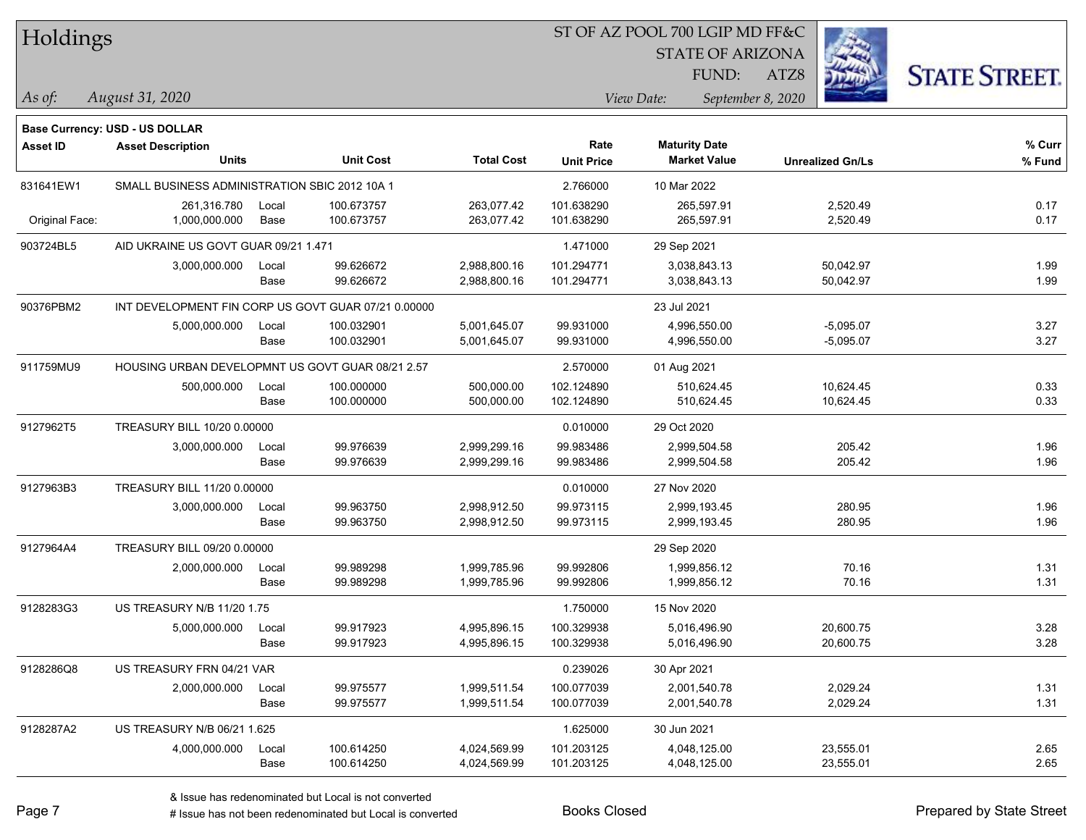| Holdings |
|----------|
|----------|

STATE OF ARIZONA

FUND:

ATZ8



*As of: View Date: September 8, 2020*

| As of: | August 31, 2020 |  |
|--------|-----------------|--|
|        |                 |  |

|                 | Base Currency: USD - US DOLLAR                   |       |                                                     |                   |                   |                      |                         |        |
|-----------------|--------------------------------------------------|-------|-----------------------------------------------------|-------------------|-------------------|----------------------|-------------------------|--------|
| <b>Asset ID</b> | <b>Asset Description</b>                         |       |                                                     |                   | Rate              | <b>Maturity Date</b> |                         | % Curr |
|                 | <b>Units</b>                                     |       | <b>Unit Cost</b>                                    | <b>Total Cost</b> | <b>Unit Price</b> | <b>Market Value</b>  | <b>Unrealized Gn/Ls</b> | % Fund |
| 831641EW1       | SMALL BUSINESS ADMINISTRATION SBIC 2012 10A 1    |       |                                                     |                   | 2.766000          | 10 Mar 2022          |                         |        |
|                 | 261,316.780                                      | Local | 100.673757                                          | 263,077.42        | 101.638290        | 265.597.91           | 2,520.49                | 0.17   |
| Original Face:  | 1,000,000.000                                    | Base  | 100.673757                                          | 263,077.42        | 101.638290        | 265,597.91           | 2,520.49                | 0.17   |
| 903724BL5       | AID UKRAINE US GOVT GUAR 09/21 1.471             |       |                                                     |                   | 1.471000          | 29 Sep 2021          |                         |        |
|                 | 3,000,000.000                                    | Local | 99.626672                                           | 2,988,800.16      | 101.294771        | 3,038,843.13         | 50,042.97               | 1.99   |
|                 |                                                  | Base  | 99.626672                                           | 2,988,800.16      | 101.294771        | 3,038,843.13         | 50,042.97               | 1.99   |
| 90376PBM2       |                                                  |       | INT DEVELOPMENT FIN CORP US GOVT GUAR 07/21 0.00000 |                   |                   | 23 Jul 2021          |                         |        |
|                 | 5,000,000.000                                    | Local | 100.032901                                          | 5,001,645.07      | 99.931000         | 4,996,550.00         | $-5,095.07$             | 3.27   |
|                 |                                                  | Base  | 100.032901                                          | 5,001,645.07      | 99.931000         | 4,996,550.00         | $-5,095.07$             | 3.27   |
| 911759MU9       | HOUSING URBAN DEVELOPMNT US GOVT GUAR 08/21 2.57 |       |                                                     |                   | 2.570000          | 01 Aug 2021          |                         |        |
|                 | 500,000.000                                      | Local | 100.000000                                          | 500,000.00        | 102.124890        | 510,624.45           | 10,624.45               | 0.33   |
|                 |                                                  | Base  | 100.000000                                          | 500,000.00        | 102.124890        | 510,624.45           | 10,624.45               | 0.33   |
| 9127962T5       | TREASURY BILL 10/20 0.00000                      |       |                                                     |                   | 0.010000          | 29 Oct 2020          |                         |        |
|                 | 3,000,000.000                                    | Local | 99.976639                                           | 2,999,299.16      | 99.983486         | 2,999,504.58         | 205.42                  | 1.96   |
|                 |                                                  | Base  | 99.976639                                           | 2,999,299.16      | 99.983486         | 2,999,504.58         | 205.42                  | 1.96   |
| 9127963B3       | TREASURY BILL 11/20 0.00000                      |       |                                                     |                   | 0.010000          | 27 Nov 2020          |                         |        |
|                 | 3,000,000.000                                    | Local | 99.963750                                           | 2,998,912.50      | 99.973115         | 2,999,193.45         | 280.95                  | 1.96   |
|                 |                                                  | Base  | 99.963750                                           | 2,998,912.50      | 99.973115         | 2,999,193.45         | 280.95                  | 1.96   |
| 9127964A4       | TREASURY BILL 09/20 0.00000                      |       |                                                     |                   |                   | 29 Sep 2020          |                         |        |
|                 | 2,000,000.000                                    | Local | 99.989298                                           | 1,999,785.96      | 99.992806         | 1,999,856.12         | 70.16                   | 1.31   |
|                 |                                                  | Base  | 99.989298                                           | 1,999,785.96      | 99.992806         | 1,999,856.12         | 70.16                   | 1.31   |
| 9128283G3       | US TREASURY N/B 11/20 1.75                       |       |                                                     |                   | 1.750000          | 15 Nov 2020          |                         |        |
|                 | 5,000,000.000                                    | Local | 99.917923                                           | 4,995,896.15      | 100.329938        | 5,016,496.90         | 20,600.75               | 3.28   |
|                 |                                                  | Base  | 99.917923                                           | 4,995,896.15      | 100.329938        | 5,016,496.90         | 20,600.75               | 3.28   |
| 9128286Q8       | US TREASURY FRN 04/21 VAR                        |       |                                                     |                   | 0.239026          | 30 Apr 2021          |                         |        |
|                 | 2,000,000.000                                    | Local | 99.975577                                           | 1,999,511.54      | 100.077039        | 2,001,540.78         | 2,029.24                | 1.31   |
|                 |                                                  | Base  | 99.975577                                           | 1,999,511.54      | 100.077039        | 2,001,540.78         | 2,029.24                | 1.31   |
| 9128287A2       | US TREASURY N/B 06/21 1.625                      |       |                                                     |                   | 1.625000          | 30 Jun 2021          |                         |        |
|                 | 4,000,000.000                                    | Local | 100.614250                                          | 4,024,569.99      | 101.203125        | 4,048,125.00         | 23,555.01               | 2.65   |
|                 |                                                  | Base  | 100.614250                                          | 4,024,569.99      | 101.203125        | 4,048,125.00         | 23,555.01               | 2.65   |
|                 |                                                  |       |                                                     |                   |                   |                      |                         |        |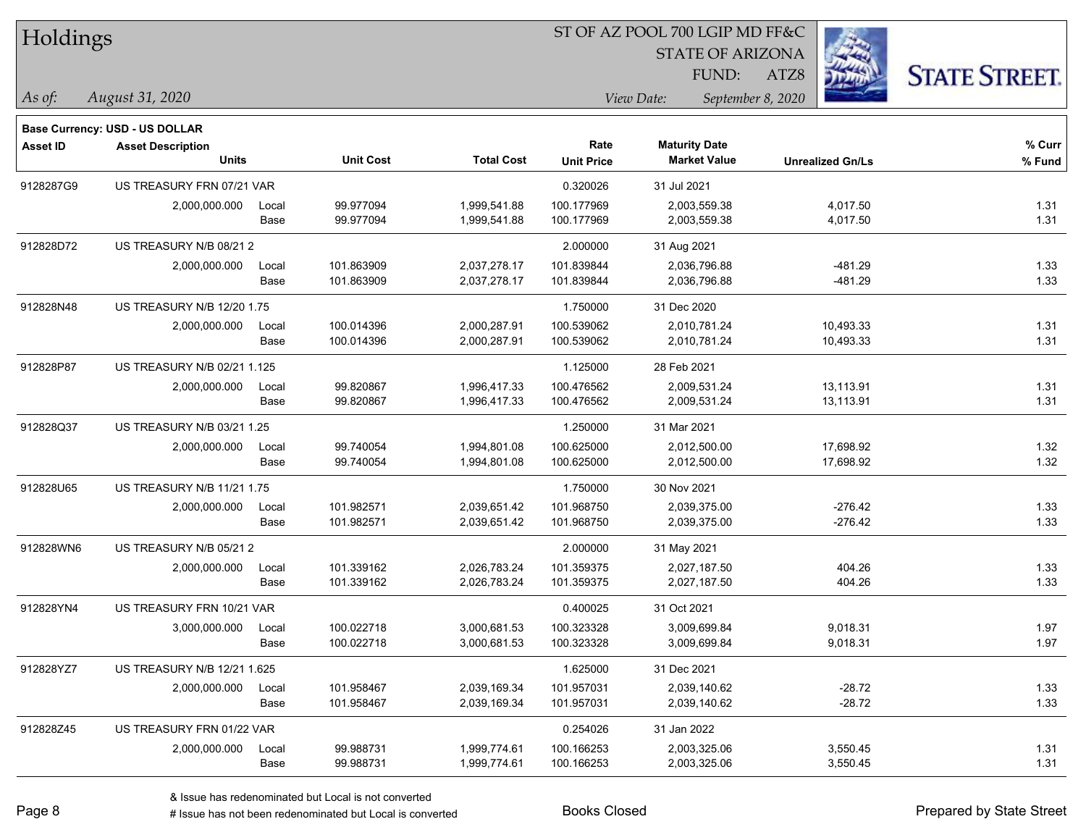| Holdings |
|----------|
|----------|

STATE OF ARIZONA

FUND:

ATZ8



*As of: View Date: September 8, 2020*

| As of: | August 31, 2020 |
|--------|-----------------|
|        |                 |

|                 | <b>Base Currency: USD - US DOLLAR</b>    |       |                  |                   |                           |                                             |                         |                  |
|-----------------|------------------------------------------|-------|------------------|-------------------|---------------------------|---------------------------------------------|-------------------------|------------------|
| <b>Asset ID</b> | <b>Asset Description</b><br><b>Units</b> |       | <b>Unit Cost</b> | <b>Total Cost</b> | Rate<br><b>Unit Price</b> | <b>Maturity Date</b><br><b>Market Value</b> | <b>Unrealized Gn/Ls</b> | % Curr<br>% Fund |
| 9128287G9       | US TREASURY FRN 07/21 VAR                |       |                  |                   | 0.320026                  | 31 Jul 2021                                 |                         |                  |
|                 | 2,000,000.000                            | Local | 99.977094        | 1,999,541.88      | 100.177969                | 2,003,559.38                                | 4,017.50                | 1.31             |
|                 |                                          | Base  | 99.977094        | 1,999,541.88      | 100.177969                | 2,003,559.38                                | 4,017.50                | 1.31             |
| 912828D72       | US TREASURY N/B 08/212                   |       |                  |                   | 2.000000                  | 31 Aug 2021                                 |                         |                  |
|                 | 2,000,000.000                            | Local | 101.863909       | 2,037,278.17      | 101.839844                | 2,036,796.88                                | $-481.29$               | 1.33             |
|                 |                                          | Base  | 101.863909       | 2,037,278.17      | 101.839844                | 2,036,796.88                                | $-481.29$               | 1.33             |
| 912828N48       | US TREASURY N/B 12/20 1.75               |       |                  |                   | 1.750000                  | 31 Dec 2020                                 |                         |                  |
|                 | 2,000,000.000                            | Local | 100.014396       | 2,000,287.91      | 100.539062                | 2,010,781.24                                | 10,493.33               | 1.31             |
|                 |                                          | Base  | 100.014396       | 2,000,287.91      | 100.539062                | 2,010,781.24                                | 10,493.33               | 1.31             |
| 912828P87       | US TREASURY N/B 02/21 1.125              |       |                  |                   | 1.125000                  | 28 Feb 2021                                 |                         |                  |
|                 | 2,000,000.000                            | Local | 99.820867        | 1,996,417.33      | 100.476562                | 2,009,531.24                                | 13,113.91               | 1.31             |
|                 |                                          | Base  | 99.820867        | 1,996,417.33      | 100.476562                | 2,009,531.24                                | 13,113.91               | 1.31             |
| 912828Q37       | US TREASURY N/B 03/21 1.25               |       |                  |                   | 1.250000                  | 31 Mar 2021                                 |                         |                  |
|                 | 2,000,000.000                            | Local | 99.740054        | 1,994,801.08      | 100.625000                | 2,012,500.00                                | 17,698.92               | 1.32             |
|                 |                                          | Base  | 99.740054        | 1,994,801.08      | 100.625000                | 2,012,500.00                                | 17,698.92               | 1.32             |
| 912828U65       | <b>US TREASURY N/B 11/21 1.75</b>        |       |                  |                   | 1.750000                  | 30 Nov 2021                                 |                         |                  |
|                 | 2,000,000.000                            | Local | 101.982571       | 2,039,651.42      | 101.968750                | 2,039,375.00                                | $-276.42$               | 1.33             |
|                 |                                          | Base  | 101.982571       | 2,039,651.42      | 101.968750                | 2,039,375.00                                | $-276.42$               | 1.33             |
| 912828WN6       | US TREASURY N/B 05/212                   |       |                  |                   | 2.000000                  | 31 May 2021                                 |                         |                  |
|                 | 2,000,000.000                            | Local | 101.339162       | 2,026,783.24      | 101.359375                | 2,027,187.50                                | 404.26                  | 1.33             |
|                 |                                          | Base  | 101.339162       | 2,026,783.24      | 101.359375                | 2,027,187.50                                | 404.26                  | 1.33             |
| 912828YN4       | US TREASURY FRN 10/21 VAR                |       |                  |                   | 0.400025                  | 31 Oct 2021                                 |                         |                  |
|                 | 3,000,000.000                            | Local | 100.022718       | 3,000,681.53      | 100.323328                | 3,009,699.84                                | 9,018.31                | 1.97             |
|                 |                                          | Base  | 100.022718       | 3,000,681.53      | 100.323328                | 3,009,699.84                                | 9,018.31                | 1.97             |
| 912828YZ7       | <b>US TREASURY N/B 12/21 1.625</b>       |       |                  |                   | 1.625000                  | 31 Dec 2021                                 |                         |                  |
|                 | 2,000,000.000                            | Local | 101.958467       | 2,039,169.34      | 101.957031                | 2,039,140.62                                | -28.72                  | 1.33             |
|                 |                                          | Base  | 101.958467       | 2,039,169.34      | 101.957031                | 2,039,140.62                                | $-28.72$                | 1.33             |
| 912828Z45       | US TREASURY FRN 01/22 VAR                |       |                  |                   | 0.254026                  | 31 Jan 2022                                 |                         |                  |
|                 | 2,000,000.000                            | Local | 99.988731        | 1,999,774.61      | 100.166253                | 2,003,325.06                                | 3,550.45                | 1.31             |
|                 |                                          | Base  | 99.988731        | 1,999,774.61      | 100.166253                | 2,003,325.06                                | 3,550.45                | 1.31             |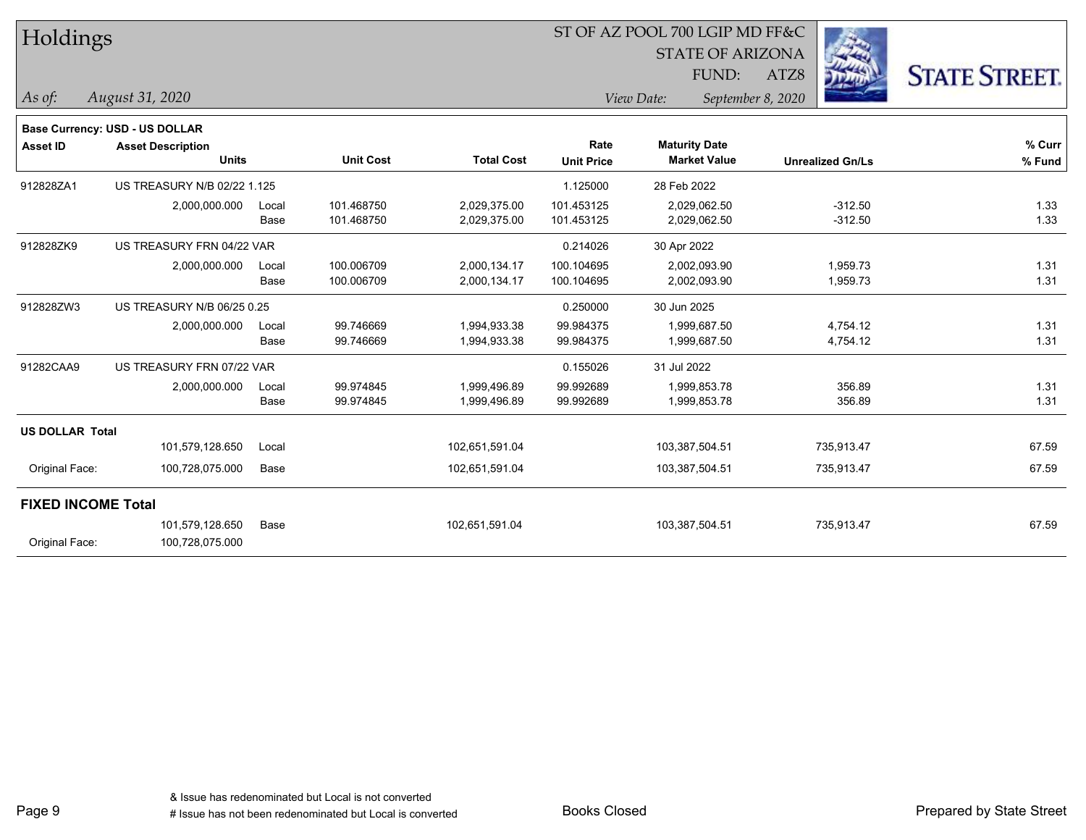| Holdings |  |
|----------|--|
|          |  |

STATE OF ARIZONA

ATZ8



*As of: View Date: September 8, 2020* FUND:

|  | As of: | August 31, 2020 |
|--|--------|-----------------|
|--|--------|-----------------|

|                           | <b>Base Currency: USD - US DOLLAR</b> |       |                  |                   |                   |                      |                         |          |
|---------------------------|---------------------------------------|-------|------------------|-------------------|-------------------|----------------------|-------------------------|----------|
| <b>Asset ID</b>           | <b>Asset Description</b>              |       |                  |                   | Rate              | <b>Maturity Date</b> |                         | $%$ Curr |
|                           | <b>Units</b>                          |       | <b>Unit Cost</b> | <b>Total Cost</b> | <b>Unit Price</b> | <b>Market Value</b>  | <b>Unrealized Gn/Ls</b> | % Fund   |
| 912828ZA1                 | US TREASURY N/B 02/22 1.125           |       |                  |                   | 1.125000          | 28 Feb 2022          |                         |          |
|                           | 2,000,000.000                         | Local | 101.468750       | 2,029,375.00      | 101.453125        | 2,029,062.50         | $-312.50$               | 1.33     |
|                           |                                       | Base  | 101.468750       | 2,029,375.00      | 101.453125        | 2,029,062.50         | $-312.50$               | 1.33     |
| 912828ZK9                 | US TREASURY FRN 04/22 VAR             |       |                  |                   | 0.214026          | 30 Apr 2022          |                         |          |
|                           | 2,000,000.000                         | Local | 100.006709       | 2,000,134.17      | 100.104695        | 2,002,093.90         | 1,959.73                | 1.31     |
|                           |                                       | Base  | 100.006709       | 2,000,134.17      | 100.104695        | 2,002,093.90         | 1,959.73                | 1.31     |
| 912828ZW3                 | US TREASURY N/B 06/25 0.25            |       |                  |                   | 0.250000          | 30 Jun 2025          |                         |          |
|                           | 2,000,000.000                         | Local | 99.746669        | 1,994,933.38      | 99.984375         | 1,999,687.50         | 4,754.12                | 1.31     |
|                           |                                       | Base  | 99.746669        | 1,994,933.38      | 99.984375         | 1,999,687.50         | 4,754.12                | 1.31     |
| 91282CAA9                 | US TREASURY FRN 07/22 VAR             |       |                  |                   | 0.155026          | 31 Jul 2022          |                         |          |
|                           | 2,000,000.000                         | Local | 99.974845        | 1,999,496.89      | 99.992689         | 1,999,853.78         | 356.89                  | 1.31     |
|                           |                                       | Base  | 99.974845        | 1,999,496.89      | 99.992689         | 1,999,853.78         | 356.89                  | 1.31     |
| <b>US DOLLAR Total</b>    |                                       |       |                  |                   |                   |                      |                         |          |
|                           | 101,579,128.650                       | Local |                  | 102,651,591.04    |                   | 103,387,504.51       | 735,913.47              | 67.59    |
| Original Face:            | 100,728,075.000                       | Base  |                  | 102,651,591.04    |                   | 103,387,504.51       | 735,913.47              | 67.59    |
| <b>FIXED INCOME Total</b> |                                       |       |                  |                   |                   |                      |                         |          |
|                           | 101,579,128.650                       | Base  |                  | 102,651,591.04    |                   | 103,387,504.51       | 735,913.47              | 67.59    |
| Original Face:            | 100,728,075.000                       |       |                  |                   |                   |                      |                         |          |
|                           |                                       |       |                  |                   |                   |                      |                         |          |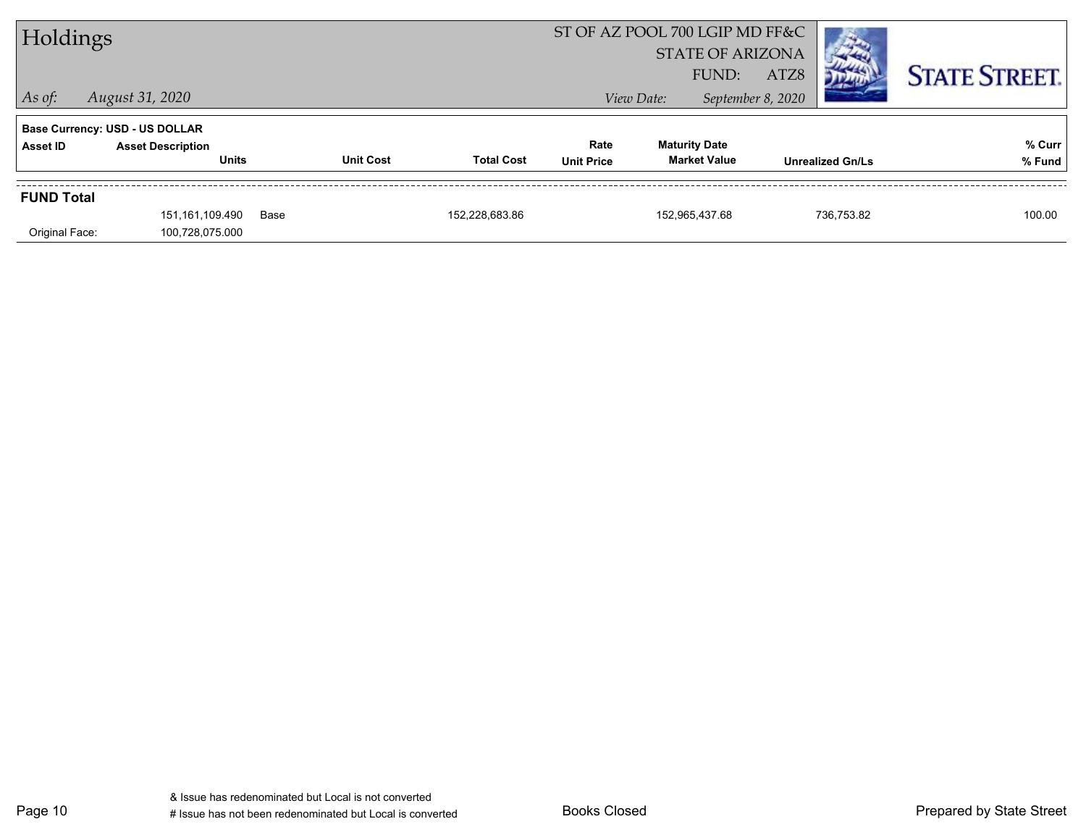| Holdings          |                                       |                  | ST OF AZ POOL 700 LGIP MD FF&C |                   |                      |                         |                         |                      |
|-------------------|---------------------------------------|------------------|--------------------------------|-------------------|----------------------|-------------------------|-------------------------|----------------------|
|                   |                                       |                  |                                |                   |                      | <b>STATE OF ARIZONA</b> |                         |                      |
|                   |                                       |                  |                                |                   | FUND:                | ATZ8                    |                         | <b>STATE STREET.</b> |
| $ $ As of:        | August 31, 2020                       |                  |                                |                   | View Date:           | September 8, 2020       |                         |                      |
|                   | <b>Base Currency: USD - US DOLLAR</b> |                  |                                |                   |                      |                         |                         |                      |
| Asset ID          | <b>Asset Description</b>              |                  |                                | Rate              | <b>Maturity Date</b> |                         |                         | % Curr               |
|                   | <b>Units</b>                          | <b>Unit Cost</b> | <b>Total Cost</b>              | <b>Unit Price</b> | <b>Market Value</b>  |                         | <b>Unrealized Gn/Ls</b> |                      |
|                   |                                       |                  |                                |                   |                      |                         |                         | % Fund               |
| <b>FUND Total</b> |                                       |                  |                                |                   |                      |                         |                         |                      |
|                   | 151,161,109.490                       | Base             | 152,228,683.86                 |                   | 152,965,437.68       |                         | 736,753.82              | 100.00               |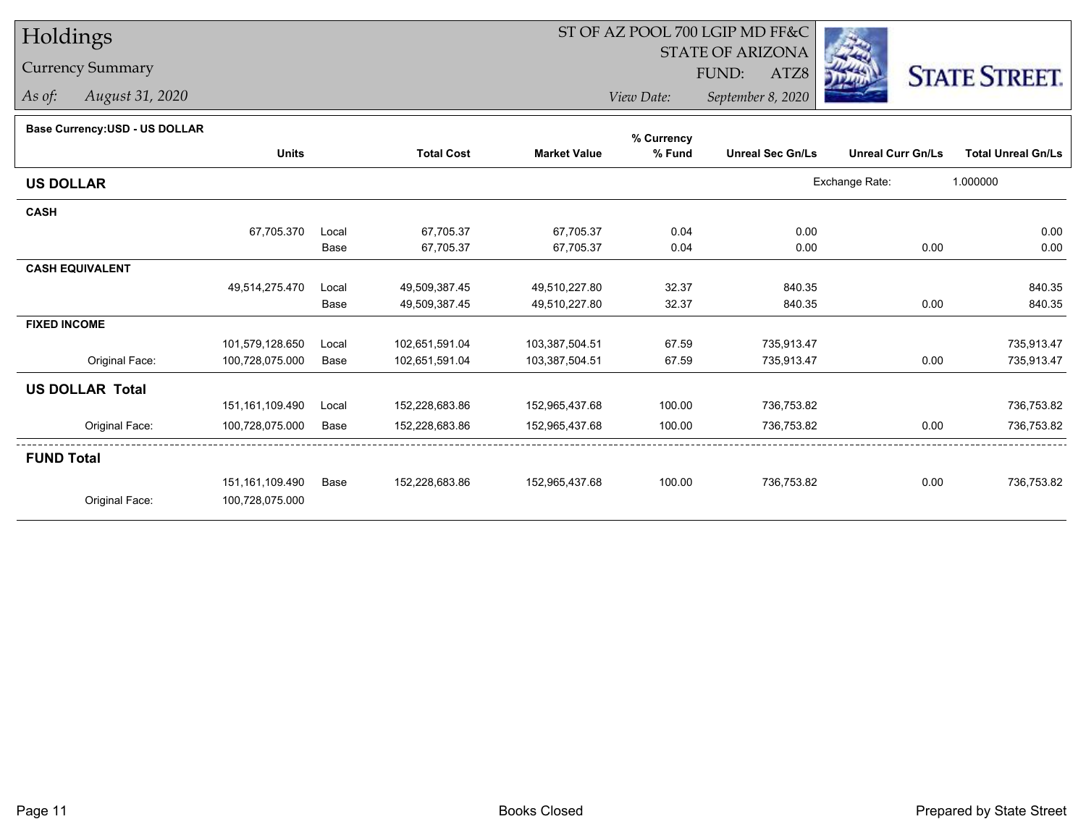### Currency Summary

*As of: August 31, 2020*

## ST OF AZ POOL 700 LGIP MD FF&C

 STATE OF ARIZONAFUND:

ATZ8



*View Date:September 8, 2020*

#### **Base Currency:USD - US DOLLAR**

|                        |                 |       |                   |                     | % Currency |                         |                          |                           |
|------------------------|-----------------|-------|-------------------|---------------------|------------|-------------------------|--------------------------|---------------------------|
|                        | <b>Units</b>    |       | <b>Total Cost</b> | <b>Market Value</b> | % Fund     | <b>Unreal Sec Gn/Ls</b> | <b>Unreal Curr Gn/Ls</b> | <b>Total Unreal Gn/Ls</b> |
| <b>US DOLLAR</b>       |                 |       |                   |                     |            |                         | Exchange Rate:           | 1.000000                  |
| <b>CASH</b>            |                 |       |                   |                     |            |                         |                          |                           |
|                        | 67,705.370      | Local | 67,705.37         | 67,705.37           | 0.04       | 0.00                    |                          | 0.00                      |
|                        |                 | Base  | 67,705.37         | 67,705.37           | 0.04       | 0.00                    | 0.00                     | 0.00                      |
| <b>CASH EQUIVALENT</b> |                 |       |                   |                     |            |                         |                          |                           |
|                        | 49,514,275.470  | Local | 49,509,387.45     | 49,510,227.80       | 32.37      | 840.35                  |                          | 840.35                    |
|                        |                 | Base  | 49,509,387.45     | 49,510,227.80       | 32.37      | 840.35                  | 0.00                     | 840.35                    |
| <b>FIXED INCOME</b>    |                 |       |                   |                     |            |                         |                          |                           |
|                        | 101,579,128.650 | Local | 102,651,591.04    | 103,387,504.51      | 67.59      | 735,913.47              |                          | 735,913.47                |
| Original Face:         | 100,728,075.000 | Base  | 102,651,591.04    | 103,387,504.51      | 67.59      | 735,913.47              | 0.00                     | 735,913.47                |
| <b>US DOLLAR Total</b> |                 |       |                   |                     |            |                         |                          |                           |
|                        | 151,161,109.490 | Local | 152,228,683.86    | 152,965,437.68      | 100.00     | 736,753.82              |                          | 736,753.82                |
| Original Face:         | 100,728,075.000 | Base  | 152,228,683.86    | 152,965,437.68      | 100.00     | 736,753.82              | 0.00                     | 736,753.82                |
| <b>FUND Total</b>      |                 |       |                   |                     |            |                         |                          |                           |
|                        | 151,161,109.490 | Base  | 152,228,683.86    | 152,965,437.68      | 100.00     | 736,753.82              | 0.00                     | 736,753.82                |
| Original Face:         | 100,728,075.000 |       |                   |                     |            |                         |                          |                           |
|                        |                 |       |                   |                     |            |                         |                          |                           |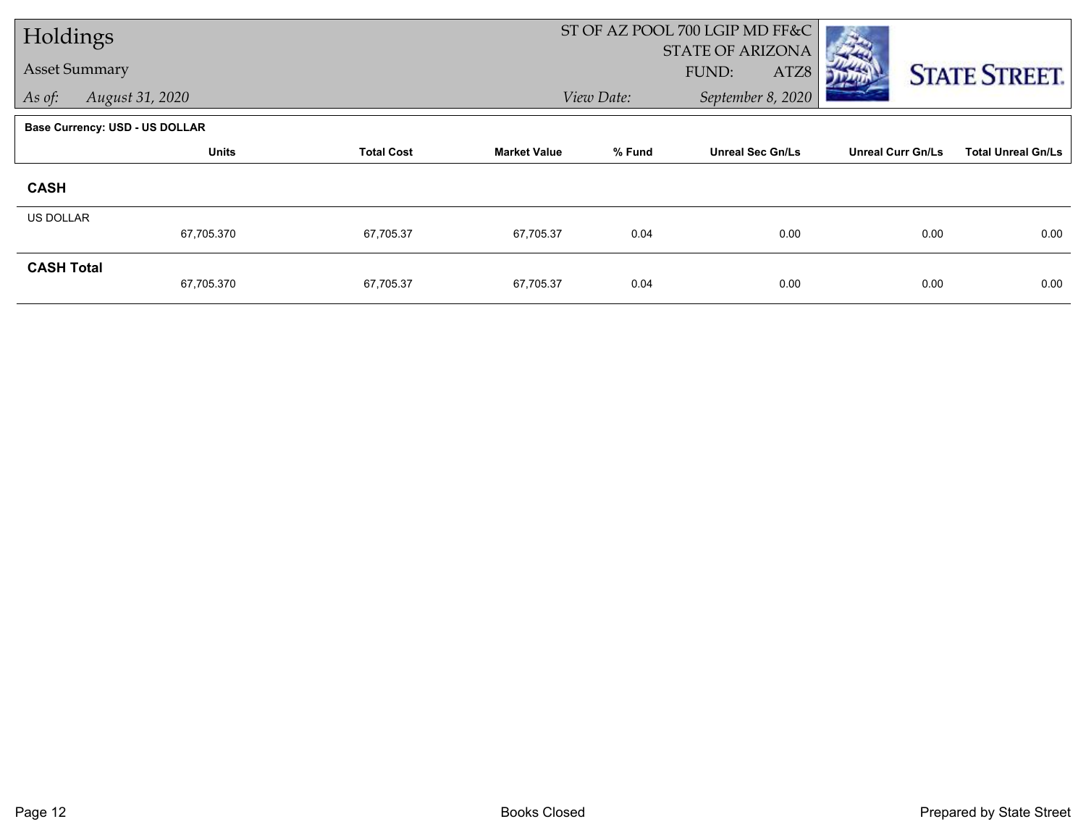| Holdings             |                                       |                   |                     |            | ST OF AZ POOL 700 LGIP MD FF&C |                          |                           |
|----------------------|---------------------------------------|-------------------|---------------------|------------|--------------------------------|--------------------------|---------------------------|
| <b>Asset Summary</b> |                                       |                   |                     |            | <b>STATE OF ARIZONA</b>        |                          |                           |
|                      |                                       |                   |                     |            | FUND:<br>ATZ8                  |                          | <b>STATE STREET.</b>      |
| As of:               | August 31, 2020                       |                   |                     | View Date: | September 8, 2020              |                          |                           |
|                      | <b>Base Currency: USD - US DOLLAR</b> |                   |                     |            |                                |                          |                           |
|                      | <b>Units</b>                          | <b>Total Cost</b> | <b>Market Value</b> | % Fund     | <b>Unreal Sec Gn/Ls</b>        | <b>Unreal Curr Gn/Ls</b> | <b>Total Unreal Gn/Ls</b> |
| <b>CASH</b>          |                                       |                   |                     |            |                                |                          |                           |
| US DOLLAR            |                                       |                   |                     |            |                                |                          |                           |
|                      | 67,705.370                            | 67,705.37         | 67,705.37           | 0.04       | 0.00                           | 0.00                     | 0.00                      |
| <b>CASH Total</b>    |                                       |                   |                     |            |                                |                          |                           |
|                      | 67,705.370                            | 67,705.37         | 67,705.37           | 0.04       | 0.00                           | 0.00                     | 0.00                      |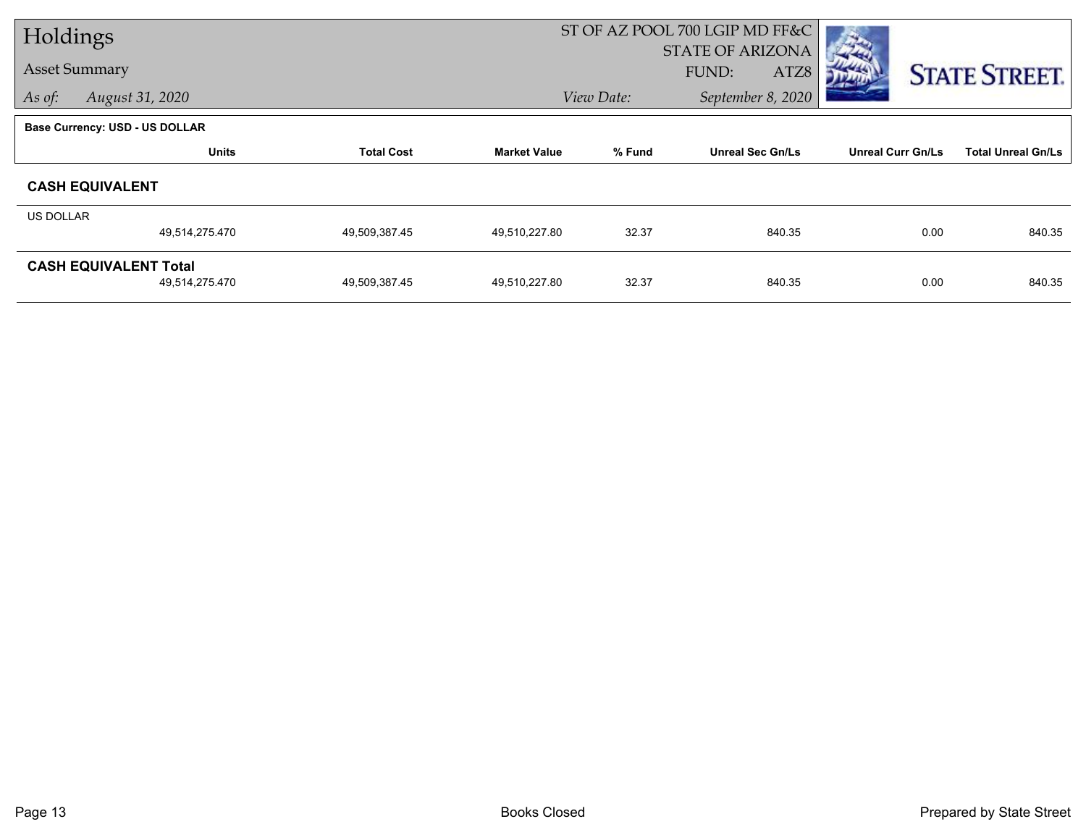| Holdings             |                                       |                   |                     |            | ST OF AZ POOL 700 LGIP MD FF&C |                          |                           |
|----------------------|---------------------------------------|-------------------|---------------------|------------|--------------------------------|--------------------------|---------------------------|
| <b>Asset Summary</b> |                                       |                   |                     |            | <b>STATE OF ARIZONA</b>        |                          |                           |
|                      |                                       |                   |                     |            | ATZ8<br>FUND:                  |                          | <b>STATE STREET.</b>      |
| As of:               | August 31, 2020                       |                   |                     | View Date: | September 8, 2020              |                          |                           |
|                      | <b>Base Currency: USD - US DOLLAR</b> |                   |                     |            |                                |                          |                           |
|                      | <b>Units</b>                          | <b>Total Cost</b> | <b>Market Value</b> | % Fund     | <b>Unreal Sec Gn/Ls</b>        | <b>Unreal Curr Gn/Ls</b> | <b>Total Unreal Gn/Ls</b> |
|                      | <b>CASH EQUIVALENT</b>                |                   |                     |            |                                |                          |                           |
| <b>US DOLLAR</b>     |                                       |                   |                     |            |                                |                          |                           |
|                      | 49,514,275.470                        | 49,509,387.45     | 49,510,227.80       | 32.37      | 840.35                         | 0.00                     | 840.35                    |
|                      | <b>CASH EQUIVALENT Total</b>          |                   |                     |            |                                |                          |                           |
|                      | 49,514,275.470                        | 49,509,387.45     | 49,510,227.80       | 32.37      | 840.35                         | 0.00                     | 840.35                    |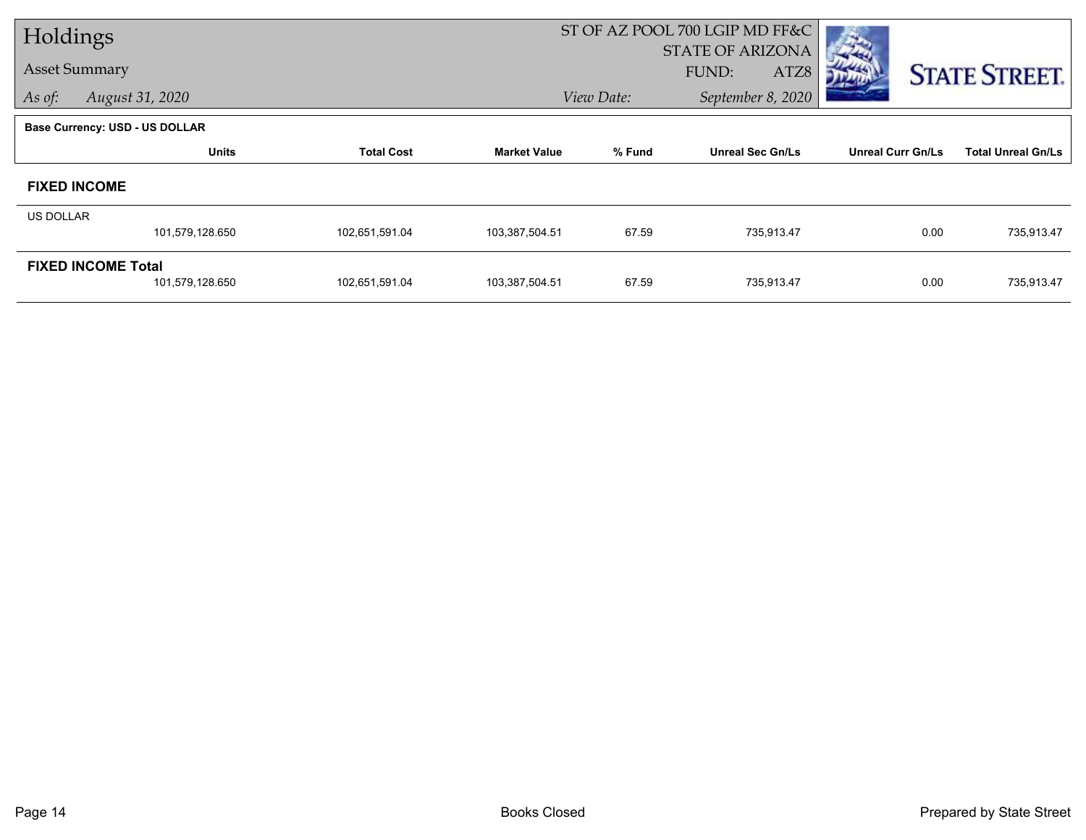| Holdings         |                                       |                   |                     |            | ST OF AZ POOL 700 LGIP MD FF&C |                          |                           |
|------------------|---------------------------------------|-------------------|---------------------|------------|--------------------------------|--------------------------|---------------------------|
|                  |                                       |                   |                     |            | <b>STATE OF ARIZONA</b>        |                          |                           |
|                  | <b>Asset Summary</b>                  |                   |                     |            | FUND:<br>ATZ8                  |                          | <b>STATE STREET.</b>      |
| As of:           | August 31, 2020                       |                   |                     | View Date: | September 8, 2020              |                          |                           |
|                  | <b>Base Currency: USD - US DOLLAR</b> |                   |                     |            |                                |                          |                           |
|                  | <b>Units</b>                          | <b>Total Cost</b> | <b>Market Value</b> | % Fund     | <b>Unreal Sec Gn/Ls</b>        | <b>Unreal Curr Gn/Ls</b> | <b>Total Unreal Gn/Ls</b> |
|                  | <b>FIXED INCOME</b>                   |                   |                     |            |                                |                          |                           |
| <b>US DOLLAR</b> |                                       |                   |                     |            |                                |                          |                           |
|                  | 101,579,128.650                       | 102,651,591.04    | 103,387,504.51      | 67.59      | 735,913.47                     | 0.00                     | 735,913.47                |
|                  | <b>FIXED INCOME Total</b>             |                   |                     |            |                                |                          |                           |
|                  | 101,579,128.650                       | 102,651,591.04    | 103,387,504.51      | 67.59      | 735,913.47                     | 0.00                     | 735,913.47                |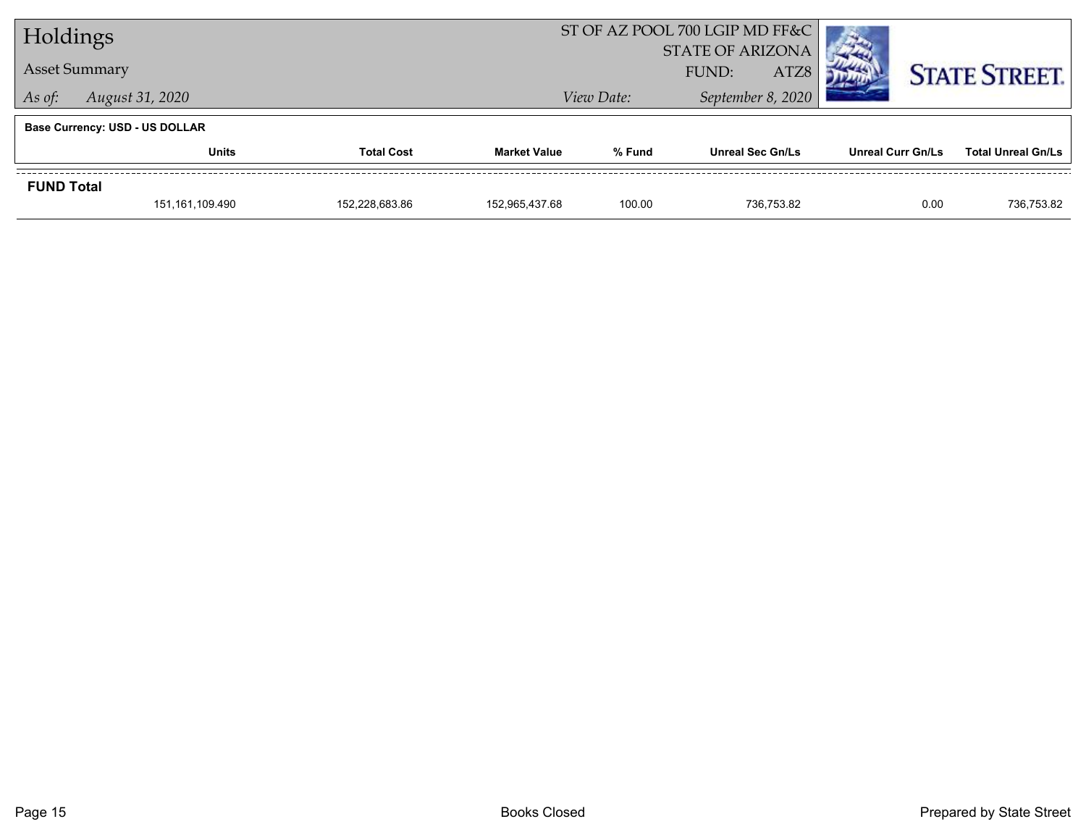| Holdings          |                                       |                   |                     |            | ST OF AZ POOL 700 LGIP MD FF&C<br><b>STATE OF ARIZONA</b> |                   |      |                           |
|-------------------|---------------------------------------|-------------------|---------------------|------------|-----------------------------------------------------------|-------------------|------|---------------------------|
|                   | <b>Asset Summary</b>                  |                   |                     |            | ATZ8<br>FUND:                                             |                   |      | <b>STATE STREET.</b>      |
| As of:            | August 31, 2020                       |                   |                     | View Date: | September 8, 2020                                         |                   |      |                           |
|                   | <b>Base Currency: USD - US DOLLAR</b> |                   |                     |            |                                                           |                   |      |                           |
|                   | <b>Units</b>                          | <b>Total Cost</b> | <b>Market Value</b> | % Fund     | <b>Unreal Sec Gn/Ls</b>                                   | Unreal Curr Gn/Ls |      | <b>Total Unreal Gn/Ls</b> |
| <b>FUND Total</b> |                                       |                   |                     |            |                                                           |                   |      |                           |
|                   | 151.161.109.490                       | 152.228.683.86    | 152.965.437.68      | 100.00     | 736.753.82                                                |                   | 0.00 | 736,753.82                |